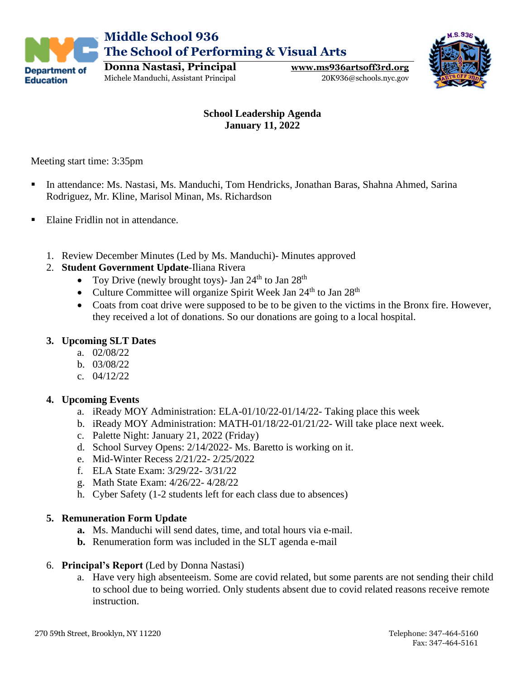



Michele Manduchi, Assistant Principal 20K936@schools.nyc.gov

## **School Leadership Agenda January 11, 2022**

Meeting start time: 3:35pm

**Education** 

- In attendance: Ms. Nastasi, Ms. Manduchi, Tom Hendricks, Jonathan Baras, Shahna Ahmed, Sarina Rodriguez, Mr. Kline, Marisol Minan, Ms. Richardson
- Elaine Fridlin not in attendance.
	- 1. Review December Minutes (Led by Ms. Manduchi)- Minutes approved

#### 2. **Student Government Update**-Iliana Rivera

- Toy Drive (newly brought toys)- Jan  $24<sup>th</sup>$  to Jan  $28<sup>th</sup>$
- Culture Committee will organize Spirit Week Jan  $24<sup>th</sup>$  to Jan  $28<sup>th</sup>$
- Coats from coat drive were supposed to be to be given to the victims in the Bronx fire. However, they received a lot of donations. So our donations are going to a local hospital.

#### **3. Upcoming SLT Dates**

- a. 02/08/22
- b. 03/08/22
- c. 04/12/22

## **4. Upcoming Events**

- a. iReady MOY Administration: ELA-01/10/22-01/14/22- Taking place this week
- b. iReady MOY Administration: MATH-01/18/22-01/21/22- Will take place next week.
- c. Palette Night: January 21, 2022 (Friday)
- d. School Survey Opens: 2/14/2022- Ms. Baretto is working on it.
- e. Mid-Winter Recess 2/21/22- 2/25/2022
- f. ELA State Exam: 3/29/22- 3/31/22
- g. Math State Exam: 4/26/22- 4/28/22
- h. Cyber Safety (1-2 students left for each class due to absences)

#### **5. Remuneration Form Update**

- **a.** Ms. Manduchi will send dates, time, and total hours via e-mail.
- **b.** Renumeration form was included in the SLT agenda e-mail
- 6. **Principal's Report** (Led by Donna Nastasi)
	- a. Have very high absenteeism. Some are covid related, but some parents are not sending their child to school due to being worried. Only students absent due to covid related reasons receive remote instruction.